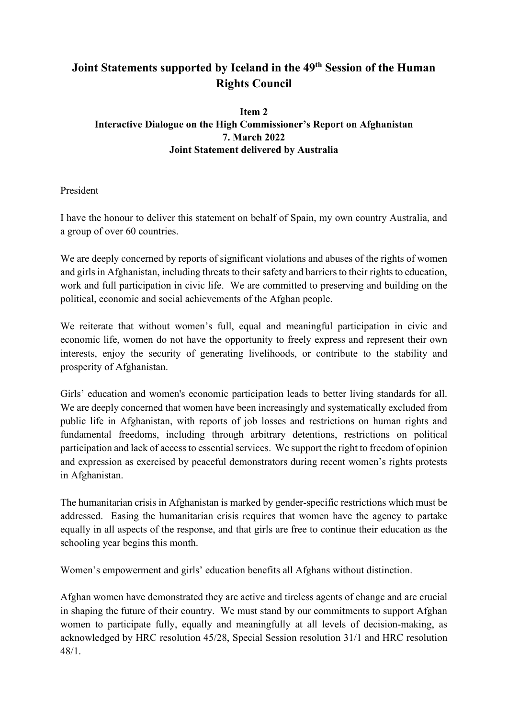# **Joint Statements supported by Iceland in the 49th Session of the Human Rights Council**

# **Item 2 Interactive Dialogue on the High Commissioner's Report on Afghanistan 7. March 2022 Joint Statement delivered by Australia**

President

I have the honour to deliver this statement on behalf of Spain, my own country Australia, and a group of over 60 countries.

We are deeply concerned by reports of significant violations and abuses of the rights of women and girls in Afghanistan, including threats to their safety and barriers to their rights to education, work and full participation in civic life. We are committed to preserving and building on the political, economic and social achievements of the Afghan people.

We reiterate that without women's full, equal and meaningful participation in civic and economic life, women do not have the opportunity to freely express and represent their own interests, enjoy the security of generating livelihoods, or contribute to the stability and prosperity of Afghanistan.

Girls' education and women's economic participation leads to better living standards for all. We are deeply concerned that women have been increasingly and systematically excluded from public life in Afghanistan, with reports of job losses and restrictions on human rights and fundamental freedoms, including through arbitrary detentions, restrictions on political participation and lack of access to essential services. We support the right to freedom of opinion and expression as exercised by peaceful demonstrators during recent women's rights protests in Afghanistan.

The humanitarian crisis in Afghanistan is marked by gender-specific restrictions which must be addressed. Easing the humanitarian crisis requires that women have the agency to partake equally in all aspects of the response, and that girls are free to continue their education as the schooling year begins this month.

Women's empowerment and girls' education benefits all Afghans without distinction.

Afghan women have demonstrated they are active and tireless agents of change and are crucial in shaping the future of their country. We must stand by our commitments to support Afghan women to participate fully, equally and meaningfully at all levels of decision-making, as acknowledged by HRC resolution 45/28, Special Session resolution 31/1 and HRC resolution 48/1.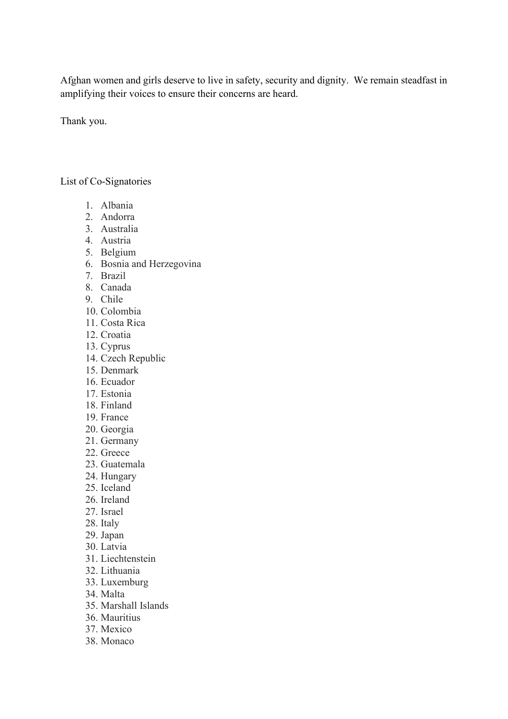Afghan women and girls deserve to live in safety, security and dignity. We remain steadfast in amplifying their voices to ensure their concerns are heard.

Thank you.

## List of Co-Signatories

- 1. Albania
- 2. Andorra
- 3. Australia
- 4. Austria
- 5. Belgium
- 6. Bosnia and Herzegovina
- 7. Brazil
- 8. Canada
- 9. Chile
- 10. Colombia
- 11. Costa Rica
- 12. Croatia
- 13. Cyprus
- 14. Czech Republic
- 15. Denmark
- 16. Ecuador
- 17. Estonia
- 18. Finland
- 19. France
- 20. Georgia
- 21. Germany
- 22. Greece
- 23. Guatemala
- 24. Hungary
- 25. Iceland
- 26. Ireland
- 27. Israel
- 28. Italy
- 29. Japan
- 30. Latvia
- 31. Liechtenstein
- 32. Lithuania
- 33. Luxemburg
- 34. Malta
- 35. Marshall Islands
- 36. Mauritius
- 37. Mexico
- 38. Monaco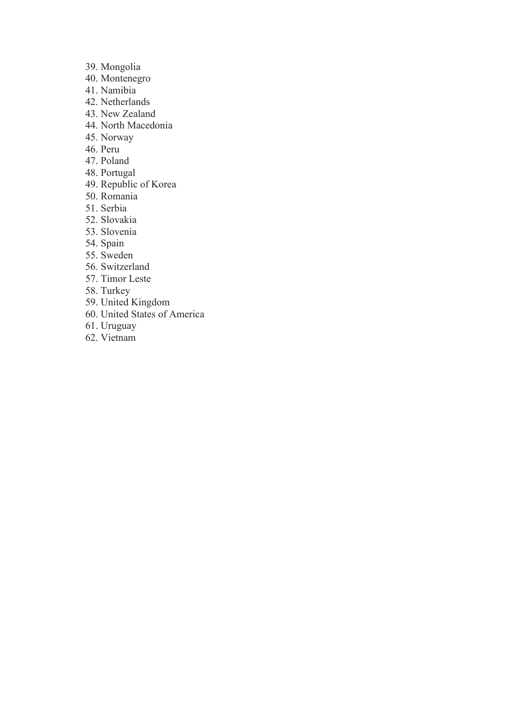- 39. Mongolia
- 40. Montenegro
- 41. Namibia
- 42. Netherlands
- 43. New Zealand
- 44. North Macedonia
- 45. Norway
- 46. Peru
- 47. Poland
- 48. Portugal
- 49. Republic of Korea
- 50. Romania
- 51. Serbia
- 52. Slovakia
- 53. Slovenia
- 54. Spain
- 55. Sweden
- 56. Switzerland
- 57. Timor Leste
- 58. Turkey
- 59. United Kingdom
- 60. United States of America
- 61. Uruguay
- 62. Vietnam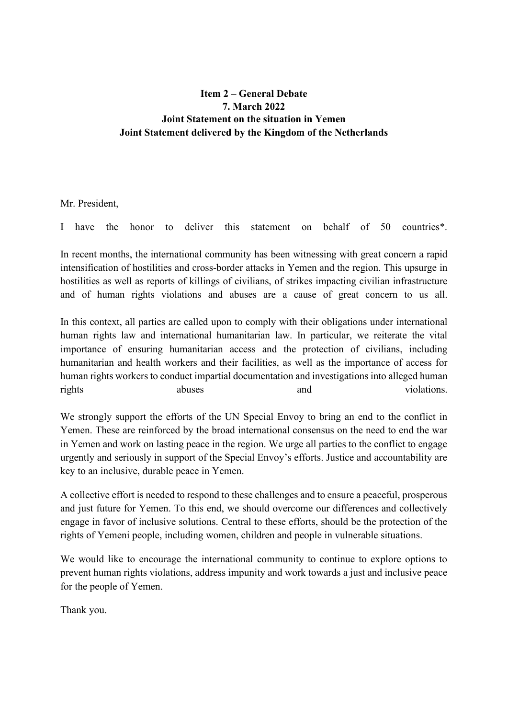# **Item 2 – General Debate 7. March 2022 Joint Statement on the situation in Yemen Joint Statement delivered by the Kingdom of the Netherlands**

Mr. President,

I have the honor to deliver this statement on behalf of 50 countries\*.

In recent months, the international community has been witnessing with great concern a rapid intensification of hostilities and cross-border attacks in Yemen and the region. This upsurge in hostilities as well as reports of killings of civilians, of strikes impacting civilian infrastructure and of human rights violations and abuses are a cause of great concern to us all.

In this context, all parties are called upon to comply with their obligations under international human rights law and international humanitarian law. In particular, we reiterate the vital importance of ensuring humanitarian access and the protection of civilians, including humanitarian and health workers and their facilities, as well as the importance of access for human rights workers to conduct impartial documentation and investigations into alleged human rights abuses abuses and violations.

We strongly support the efforts of the UN Special Envoy to bring an end to the conflict in Yemen. These are reinforced by the broad international consensus on the need to end the war in Yemen and work on lasting peace in the region. We urge all parties to the conflict to engage urgently and seriously in support of the Special Envoy's efforts. Justice and accountability are key to an inclusive, durable peace in Yemen.

A collective effort is needed to respond to these challenges and to ensure a peaceful, prosperous and just future for Yemen. To this end, we should overcome our differences and collectively engage in favor of inclusive solutions. Central to these efforts, should be the protection of the rights of Yemeni people, including women, children and people in vulnerable situations.

We would like to encourage the international community to continue to explore options to prevent human rights violations, address impunity and work towards a just and inclusive peace for the people of Yemen.

Thank you.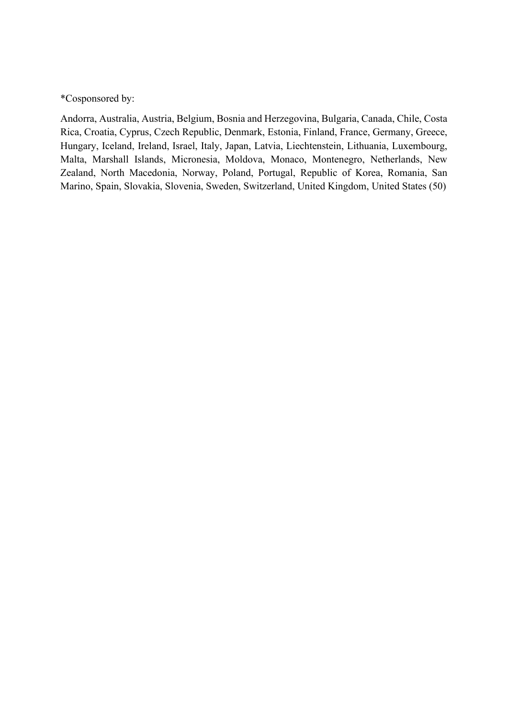\*Cosponsored by:

Andorra, Australia, Austria, Belgium, Bosnia and Herzegovina, Bulgaria, Canada, Chile, Costa Rica, Croatia, Cyprus, Czech Republic, Denmark, Estonia, Finland, France, Germany, Greece, Hungary, Iceland, Ireland, Israel, Italy, Japan, Latvia, Liechtenstein, Lithuania, Luxembourg, Malta, Marshall Islands, Micronesia, Moldova, Monaco, Montenegro, Netherlands, New Zealand, North Macedonia, Norway, Poland, Portugal, Republic of Korea, Romania, San Marino, Spain, Slovakia, Slovenia, Sweden, Switzerland, United Kingdom, United States (50)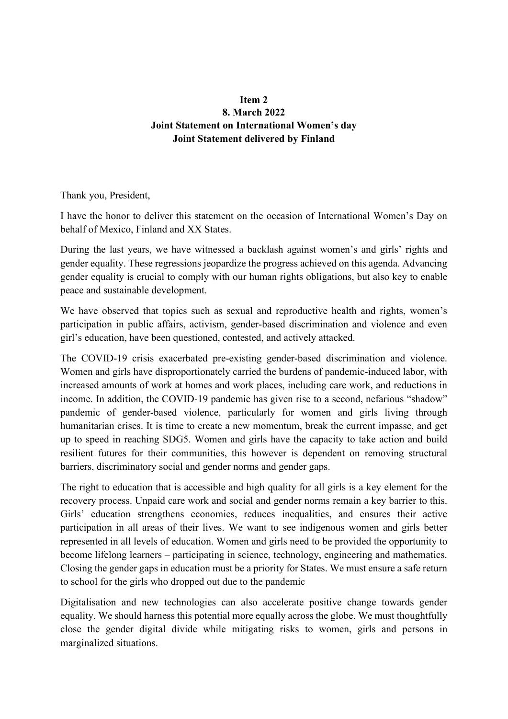# **Item 2 8. March 2022 Joint Statement on International Women's day Joint Statement delivered by Finland**

Thank you, President,

I have the honor to deliver this statement on the occasion of International Women's Day on behalf of Mexico, Finland and XX States.

During the last years, we have witnessed a backlash against women's and girls' rights and gender equality. These regressions jeopardize the progress achieved on this agenda. Advancing gender equality is crucial to comply with our human rights obligations, but also key to enable peace and sustainable development.

We have observed that topics such as sexual and reproductive health and rights, women's participation in public affairs, activism, gender-based discrimination and violence and even girl's education, have been questioned, contested, and actively attacked.

The COVID-19 crisis exacerbated pre-existing gender-based discrimination and violence. Women and girls have disproportionately carried the burdens of pandemic-induced labor, with increased amounts of work at homes and work places, including care work, and reductions in income. In addition, the COVID-19 pandemic has given rise to a second, nefarious "shadow" pandemic of gender-based violence, particularly for women and girls living through humanitarian crises. It is time to create a new momentum, break the current impasse, and get up to speed in reaching SDG5. Women and girls have the capacity to take action and build resilient futures for their communities, this however is dependent on removing structural barriers, discriminatory social and gender norms and gender gaps.

The right to education that is accessible and high quality for all girls is a key element for the recovery process. Unpaid care work and social and gender norms remain a key barrier to this. Girls' education strengthens economies, reduces inequalities, and ensures their active participation in all areas of their lives. We want to see indigenous women and girls better represented in all levels of education. Women and girls need to be provided the opportunity to become lifelong learners – participating in science, technology, engineering and mathematics. Closing the gender gaps in education must be a priority for States. We must ensure a safe return to school for the girls who dropped out due to the pandemic

Digitalisation and new technologies can also accelerate positive change towards gender equality. We should harness this potential more equally across the globe. We must thoughtfully close the gender digital divide while mitigating risks to women, girls and persons in marginalized situations.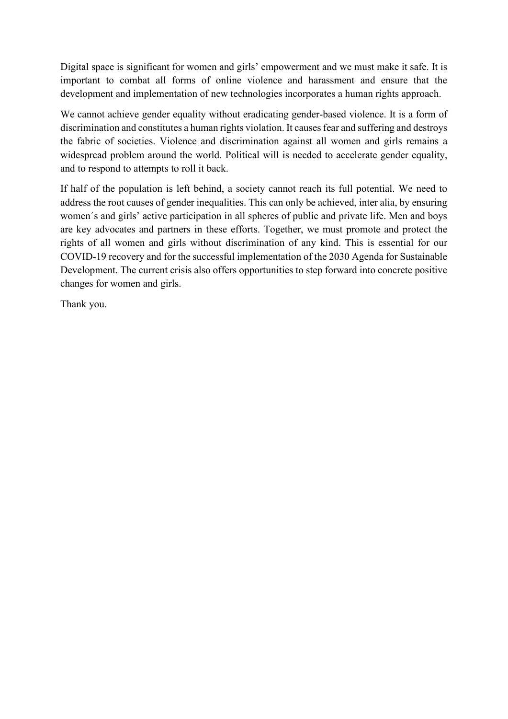Digital space is significant for women and girls' empowerment and we must make it safe. It is important to combat all forms of online violence and harassment and ensure that the development and implementation of new technologies incorporates a human rights approach.

We cannot achieve gender equality without eradicating gender-based violence. It is a form of discrimination and constitutes a human rights violation. It causes fear and suffering and destroys the fabric of societies. Violence and discrimination against all women and girls remains a widespread problem around the world. Political will is needed to accelerate gender equality, and to respond to attempts to roll it back.

If half of the population is left behind, a society cannot reach its full potential. We need to address the root causes of gender inequalities. This can only be achieved, inter alia, by ensuring women´s and girls' active participation in all spheres of public and private life. Men and boys are key advocates and partners in these efforts. Together, we must promote and protect the rights of all women and girls without discrimination of any kind. This is essential for our COVID-19 recovery and for the successful implementation of the 2030 Agenda for Sustainable Development. The current crisis also offers opportunities to step forward into concrete positive changes for women and girls.

Thank you.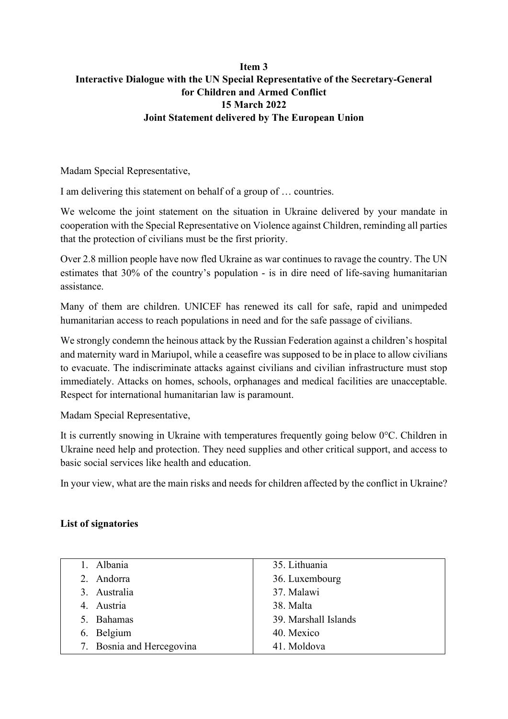# **Item 3 Interactive Dialogue with the UN Special Representative of the Secretary-General for Children and Armed Conflict 15 March 2022 Joint Statement delivered by The European Union**

Madam Special Representative,

I am delivering this statement on behalf of a group of … countries.

We welcome the [joint statement](https://childrenandarmedconflict.un.org/2022/02/joint-statement-on-the-situation-in-ukraine-by-the-special-representatives-of-the-secretary-general-for-children-and-armed-conflict-and-on-violence-against-children/) on the situation in Ukraine delivered by your mandate in cooperation with the Special Representative on Violence against Children, reminding all parties that the protection of civilians must be the first priority.

Over 2.8 million people have now fled Ukraine as war continues to ravage the country. The UN estimates that 30% of the country's population - is in dire need of life-saving humanitarian assistance.

Many of them are children. [UNICEF](https://www.unicef.org/press-releases/additional-unicef-supplies-their-way-ukraine-number-child-refugees-exceeds-1-million) has renewed its call for safe, rapid and unimpeded humanitarian access to reach populations in need and for the safe passage of civilians.

We strongly condemn the heinous attack by the Russian Federation against a children's hospital and maternity ward in Mariupol, while a ceasefire was supposed to be in place to allow civilians to evacuate. The indiscriminate attacks against civilians and civilian infrastructure must stop immediately. Attacks on homes, schools, orphanages and medical facilities are unacceptable. Respect for international humanitarian law is paramount.

Madam Special Representative,

It is currently snowing in Ukraine with temperatures frequently going below 0°C. Children in Ukraine need help and protection. They need supplies and other critical support, and access to basic social services like health and education.

In your view, what are the main risks and needs for children affected by the conflict in Ukraine?

# **List of signatories**

| 1. Albania                | 35. Lithuania        |
|---------------------------|----------------------|
| 2. Andorra                | 36. Luxembourg       |
| 3. Australia              | 37. Malawi           |
| 4. Austria                | 38. Malta            |
| 5. Bahamas                | 39. Marshall Islands |
| 6. Belgium                | 40. Mexico           |
| 7. Bosnia and Hercegovina | 41. Moldova          |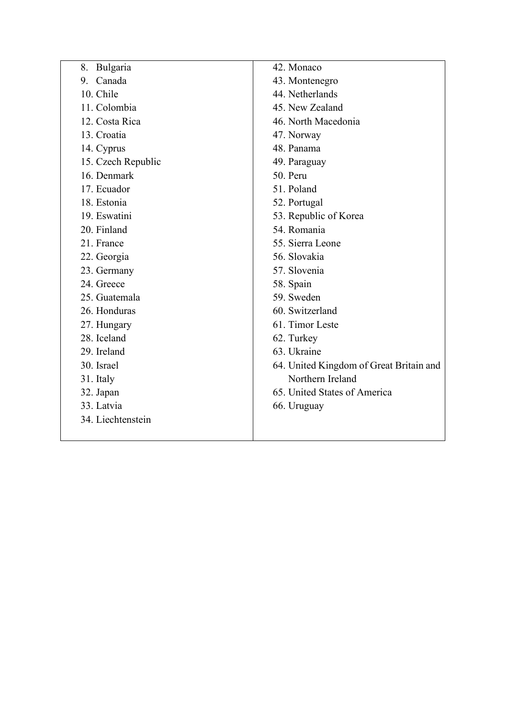| Bulgaria<br>8.     | 42. Monaco                              |
|--------------------|-----------------------------------------|
| Canada<br>9.       | 43. Montenegro                          |
| 10. Chile          | 44. Netherlands                         |
| 11. Colombia       | 45. New Zealand                         |
| 12. Costa Rica     | 46. North Macedonia                     |
| 13. Croatia        | 47. Norway                              |
| 14. Cyprus         | 48. Panama                              |
| 15. Czech Republic | 49. Paraguay                            |
| 16. Denmark        | 50. Peru                                |
| 17. Ecuador        | 51. Poland                              |
| 18. Estonia        | 52. Portugal                            |
| 19. Eswatini       | 53. Republic of Korea                   |
| 20. Finland        | 54. Romania                             |
| 21. France         | 55. Sierra Leone                        |
| 22. Georgia        | 56. Slovakia                            |
| 23. Germany        | 57. Slovenia                            |
| 24. Greece         | 58. Spain                               |
| 25. Guatemala      | 59. Sweden                              |
| 26. Honduras       | 60. Switzerland                         |
| 27. Hungary        | 61. Timor Leste                         |
| 28. Iceland        | 62. Turkey                              |
| 29. Ireland        | 63. Ukraine                             |
| 30. Israel         | 64. United Kingdom of Great Britain and |
| 31. Italy          | Northern Ireland                        |
| 32. Japan          | 65. United States of America            |
| 33. Latvia         | 66. Uruguay                             |
| 34. Liechtenstein  |                                         |
|                    |                                         |
|                    |                                         |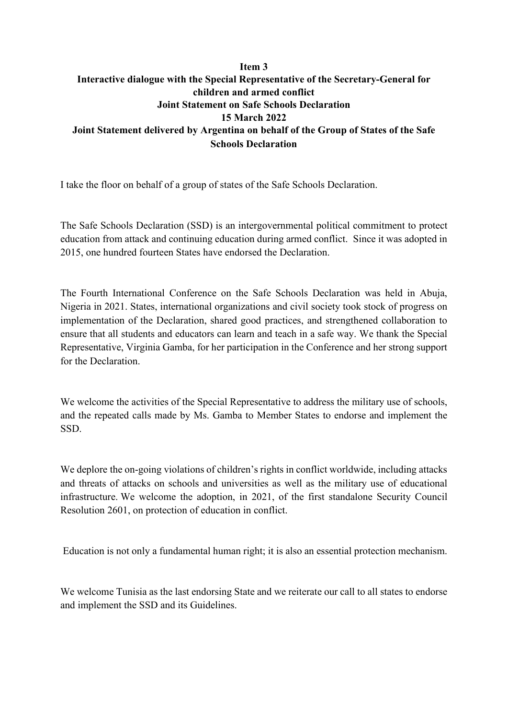## **Item 3 Interactive dialogue with the Special Representative of the Secretary-General for children and armed conflict Joint Statement on Safe Schools Declaration 15 March 2022 Joint Statement delivered by Argentina on behalf of the Group of States of the Safe Schools Declaration**

I take the floor on behalf of a group of states of the Safe Schools Declaration.

The Safe Schools Declaration (SSD) is an intergovernmental political commitment to protect education from attack and continuing education during armed conflict. Since it was adopted in 2015, one hundred fourteen States have endorsed the Declaration.

The Fourth International Conference on the Safe Schools Declaration was held in Abuja, Nigeria in 2021. States, international organizations and civil society took stock of progress on implementation of the Declaration, shared good practices, and strengthened collaboration to ensure that all students and educators can learn and teach in a safe way. We thank the Special Representative, Virginia Gamba, for her participation in the Conference and her strong support for the Declaration.

We welcome the activities of the Special Representative to address the military use of schools, and the repeated calls made by Ms. Gamba to Member States to endorse and implement the SSD.

We deplore the on-going violations of children's rights in conflict worldwide, including attacks and threats of attacks on schools and universities as well as the military use of educational infrastructure. We welcome the adoption, in 2021, of the first standalone Security Council Resolution 2601, on protection of education in conflict.

Education is not only a fundamental human right; it is also an essential protection mechanism.

We welcome Tunisia as the last endorsing State and we reiterate our call to all states to endorse and implement the SSD and its Guidelines.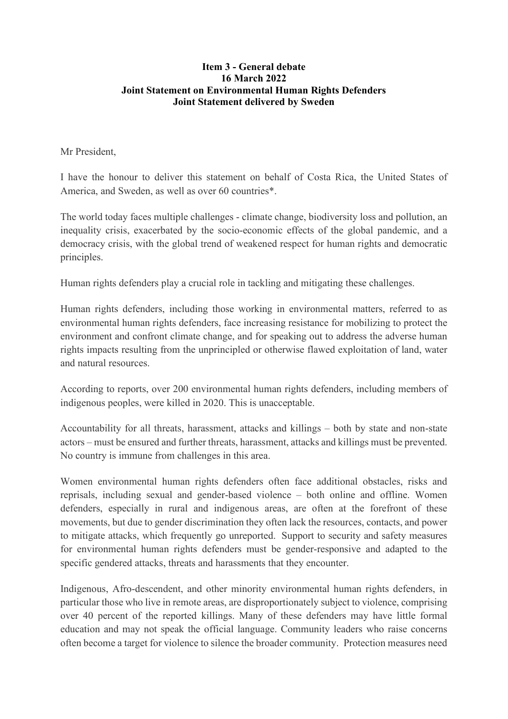## **Item 3 - General debate 16 March 2022 Joint Statement on Environmental Human Rights Defenders Joint Statement delivered by Sweden**

Mr President,

I have the honour to deliver this statement on behalf of Costa Rica, the United States of America, and Sweden, as well as over 60 countries\*.

The world today faces multiple challenges - climate change, biodiversity loss and pollution, an inequality crisis, exacerbated by the socio-economic effects of the global pandemic, and a democracy crisis, with the global trend of weakened respect for human rights and democratic principles.

Human rights defenders play a crucial role in tackling and mitigating these challenges.

Human rights defenders, including those working in environmental matters, referred to as environmental human rights defenders, face increasing resistance for mobilizing to protect the environment and confront climate change, and for speaking out to address the adverse human rights impacts resulting from the unprincipled or otherwise flawed exploitation of land, water and natural resources.

According to reports, over 200 environmental human rights defenders, including members of indigenous peoples, were killed in 2020. This is unacceptable.

Accountability for all threats, harassment, attacks and killings – both by state and non-state actors – must be ensured and further threats, harassment, attacks and killings must be prevented. No country is immune from challenges in this area.

Women environmental human rights defenders often face additional obstacles, risks and reprisals, including sexual and gender-based violence – both online and offline. Women defenders, especially in rural and indigenous areas, are often at the forefront of these movements, but due to gender discrimination they often lack the resources, contacts, and power to mitigate attacks, which frequently go unreported. Support to security and safety measures for environmental human rights defenders must be gender-responsive and adapted to the specific gendered attacks, threats and harassments that they encounter.

Indigenous, Afro-descendent, and other minority environmental human rights defenders, in particular those who live in remote areas, are disproportionately subject to violence, comprising over 40 percent of the reported killings. Many of these defenders may have little formal education and may not speak the official language. Community leaders who raise concerns often become a target for violence to silence the broader community. Protection measures need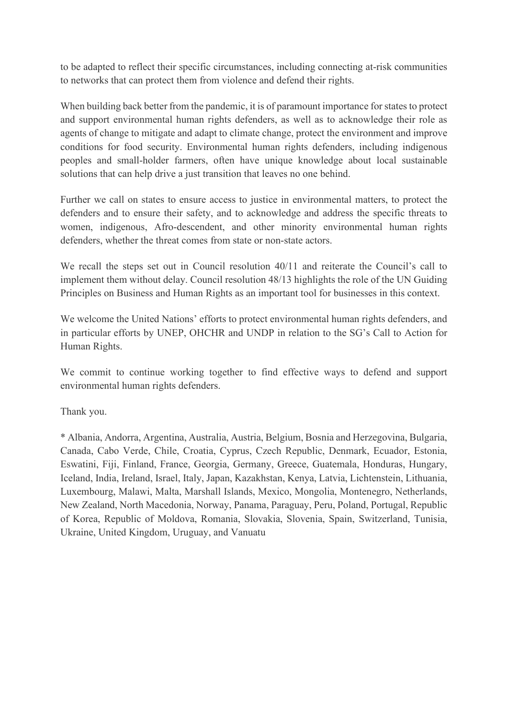to be adapted to reflect their specific circumstances, including connecting at-risk communities to networks that can protect them from violence and defend their rights.

When building back better from the pandemic, it is of paramount importance for states to protect and support environmental human rights defenders, as well as to acknowledge their role as agents of change to mitigate and adapt to climate change, protect the environment and improve conditions for food security. Environmental human rights defenders, including indigenous peoples and small-holder farmers, often have unique knowledge about local sustainable solutions that can help drive a just transition that leaves no one behind.

Further we call on states to ensure access to justice in environmental matters, to protect the defenders and to ensure their safety, and to acknowledge and address the specific threats to women, indigenous, Afro-descendent, and other minority environmental human rights defenders, whether the threat comes from state or non-state actors.

We recall the steps set out in Council resolution 40/11 and reiterate the Council's call to implement them without delay. Council resolution 48/13 highlights the role of the UN Guiding Principles on Business and Human Rights as an important tool for businesses in this context.

We welcome the United Nations' efforts to protect environmental human rights defenders, and in particular efforts by UNEP, OHCHR and UNDP in relation to the SG's Call to Action for Human Rights.

We commit to continue working together to find effective ways to defend and support environmental human rights defenders.

Thank you.

\* Albania, Andorra, Argentina, Australia, Austria, Belgium, Bosnia and Herzegovina, Bulgaria, Canada, Cabo Verde, Chile, Croatia, Cyprus, Czech Republic, Denmark, Ecuador, Estonia, Eswatini, Fiji, Finland, France, Georgia, Germany, Greece, Guatemala, Honduras, Hungary, Iceland, India, Ireland, Israel, Italy, Japan, Kazakhstan, Kenya, Latvia, Lichtenstein, Lithuania, Luxembourg, Malawi, Malta, Marshall Islands, Mexico, Mongolia, Montenegro, Netherlands, New Zealand, North Macedonia, Norway, Panama, Paraguay, Peru, Poland, Portugal, Republic of Korea, Republic of Moldova, Romania, Slovakia, Slovenia, Spain, Switzerland, Tunisia, Ukraine, United Kingdom, Uruguay, and Vanuatu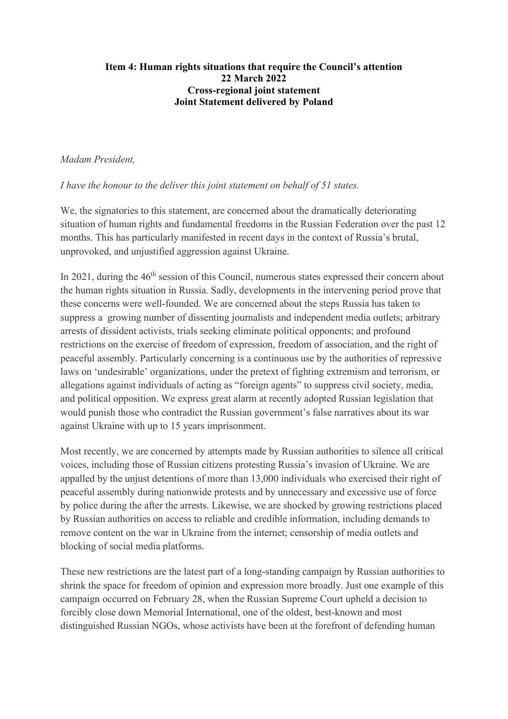## **Item 4: Human rights situations that require the Council's attention 22 March 2022 Cross-regional joint statement Joint Statement delivered by Poland**

### *Madam President,*

*I have the honour to the deliver this joint statement on behalf of 51 states.*

We, the signatories to this statement, are concerned about the dramatically deteriorating situation of human rights and fundamental freedoms in the Russian Federation over the past 12 months. This has particularly manifested in recent days in the context of Russia's brutal, unprovoked, and unjustified aggression against Ukraine.

In 2021, during the 46<sup>th</sup> session of this Council, numerous states expressed their concern about the human rights situation in Russia. Sadly, developments in the intervening period prove that these concerns were well-founded. We are concerned about the steps Russia has taken to suppress a growing number of dissenting journalists and independent media outlets; arbitrary arrests of dissident activists, trials seeking eliminate political opponents; and profound restrictions on the exercise of freedom of expression, freedom of association, and the right of peaceful assembly. Particularly concerning is a continuous use by the authorities of repressive laws on 'undesirable' organizations, under the pretext of fighting extremism and terrorism, or allegations against individuals of acting as "foreign agents" to suppress civil society, media, and political opposition. We express great alarm at recently adopted Russian legislation that would punish those who contradict the Russian government's false narratives about its war against Ukraine with up to 15 years imprisonment.

Most recently, we are concerned by attempts made by Russian authorities to silence all critical voices, including those of Russian citizens protesting Russia's invasion of Ukraine. We are appalled by the unjust detentions of more than 13,000 individuals who exercised their right of peaceful assembly during nationwide protests and by unnecessary and excessive use of force by police during the after the arrests. Likewise, we are shocked by growing restrictions placed by Russian authorities on access to reliable and credible information, including demands to remove content on the war in Ukraine from the internet; censorship of media outlets and blocking of social media platforms.

These new restrictions are the latest part of a long-standing campaign by Russian authorities to shrink the space for freedom of opinion and expression more broadly. Just one example of this campaign occurred on February 28, when the Russian Supreme Court upheld a decision to forcibly close down Memorial International, one of the oldest, best-known and most distinguished Russian NGOs, whose activists have been at the forefront of defending human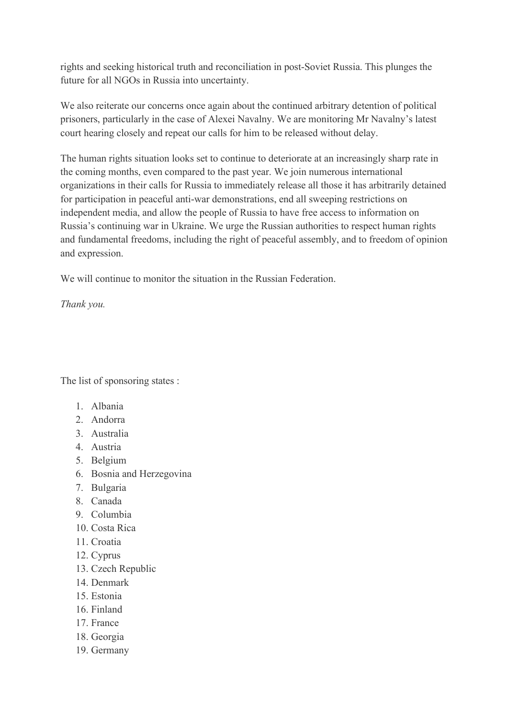rights and seeking historical truth and reconciliation in post-Soviet Russia. This plunges the future for all NGOs in Russia into uncertainty.

We also reiterate our concerns once again about the continued arbitrary detention of political prisoners, particularly in the case of Alexei Navalny. We are monitoring Mr Navalny's latest court hearing closely and repeat our calls for him to be released without delay.

The human rights situation looks set to continue to deteriorate at an increasingly sharp rate in the coming months, even compared to the past year. We join numerous international organizations in their calls for Russia to immediately release all those it has arbitrarily detained for participation in peaceful anti-war demonstrations, end all sweeping restrictions on independent media, and allow the people of Russia to have free access to information on Russia's continuing war in Ukraine. We urge the Russian authorities to respect human rights and fundamental freedoms, including the right of peaceful assembly, and to freedom of opinion and expression.

We will continue to monitor the situation in the Russian Federation.

*Thank you.*

The list of sponsoring states :

- 1. Albania
- 2. Andorra
- 3. Australia
- 4. Austria
- 5. Belgium
- 6. Bosnia and Herzegovina
- 7. Bulgaria
- 8. Canada
- 9. Columbia
- 10. Costa Rica
- 11. Croatia
- 12. Cyprus
- 13. Czech Republic
- 14. Denmark
- 15. Estonia
- 16. Finland
- 17. France
- 18. Georgia
- 19. Germany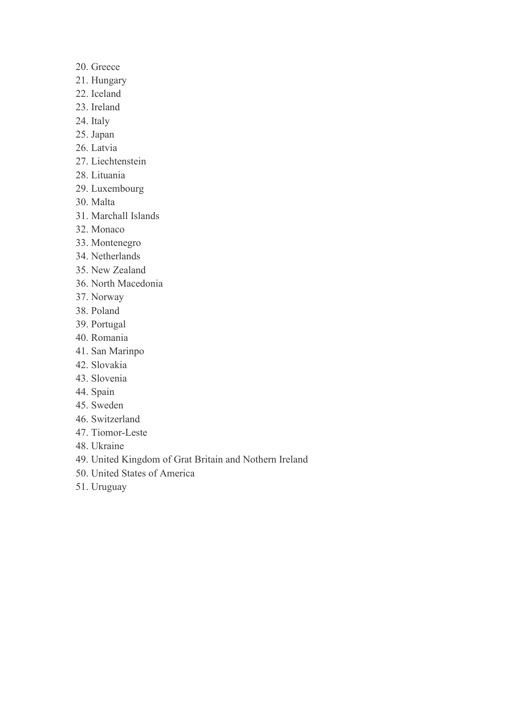- 20. Greece
- 21. Hungary
- 22. Iceland
- 23. Ireland
- 24. Italy
- 25. Japan
- 26. Latvia
- 27. Liechtenstein
- 28. Lituania
- 29. Luxembourg
- 30. Malta
- 31. Marchall Islands
- 32. Monaco
- 33. Montenegro
- 34. Netherlands
- 35. New Zealand
- 36. North Macedonia
- 37. Norway
- 38. Poland
- 39. Portugal
- 40. Romania
- 41. San Marinpo
- 42. Slovakia
- 43. Slovenia
- 44. Spain
- 45. Sweden
- 46. Switzerland
- 47. Tiomor-Leste
- 48. Ukraine
- 49. United Kingdom of Grat Britain and Nothern Ireland
- 50. United States of America
- 51. Uruguay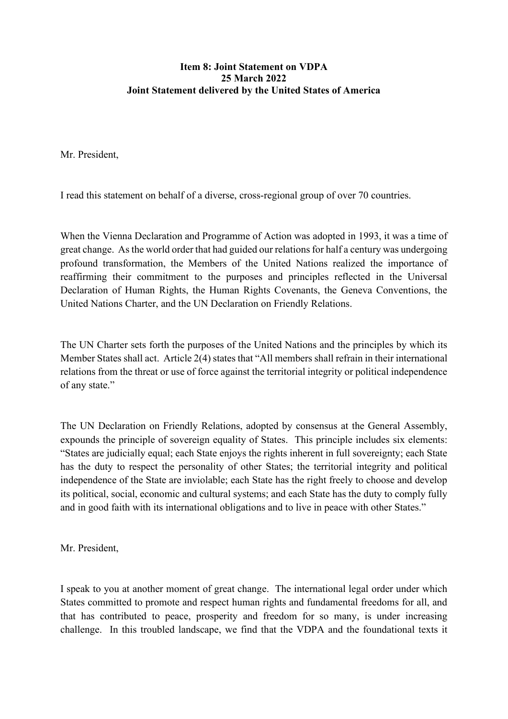## **Item 8: Joint Statement on VDPA 25 March 2022 Joint Statement delivered by the United States of America**

Mr. President,

I read this statement on behalf of a diverse, cross-regional group of over 70 countries.

When the Vienna Declaration and Programme of Action was adopted in 1993, it was a time of great change. As the world order that had guided our relations for half a century was undergoing profound transformation, the Members of the United Nations realized the importance of reaffirming their commitment to the purposes and principles reflected in the Universal Declaration of Human Rights, the Human Rights Covenants, the Geneva Conventions, the United Nations Charter, and the UN Declaration on Friendly Relations.

The UN Charter sets forth the purposes of the United Nations and the principles by which its Member States shall act. Article 2(4) states that "All members shall refrain in their international relations from the threat or use of force against the territorial integrity or political independence of any state."

The UN Declaration on Friendly Relations, adopted by consensus at the General Assembly, expounds the principle of sovereign equality of States. This principle includes six elements: "States are judicially equal; each State enjoys the rights inherent in full sovereignty; each State has the duty to respect the personality of other States; the territorial integrity and political independence of the State are inviolable; each State has the right freely to choose and develop its political, social, economic and cultural systems; and each State has the duty to comply fully and in good faith with its international obligations and to live in peace with other States."

Mr. President,

I speak to you at another moment of great change. The international legal order under which States committed to promote and respect human rights and fundamental freedoms for all, and that has contributed to peace, prosperity and freedom for so many, is under increasing challenge. In this troubled landscape, we find that the VDPA and the foundational texts it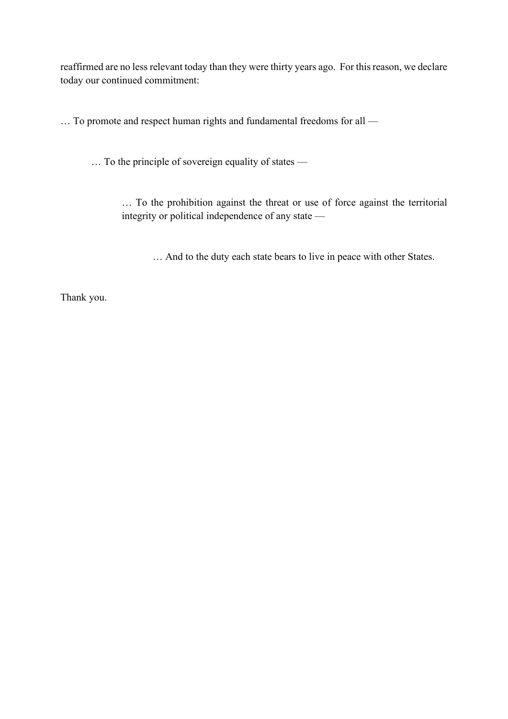reaffirmed are no less relevant today than they were thirty years ago. For this reason, we declare today our continued commitment:

… To promote and respect human rights and fundamental freedoms for all —

… To the principle of sovereign equality of states —

… To the prohibition against the threat or use of force against the territorial integrity or political independence of any state —

… And to the duty each state bears to live in peace with other States.

Thank you.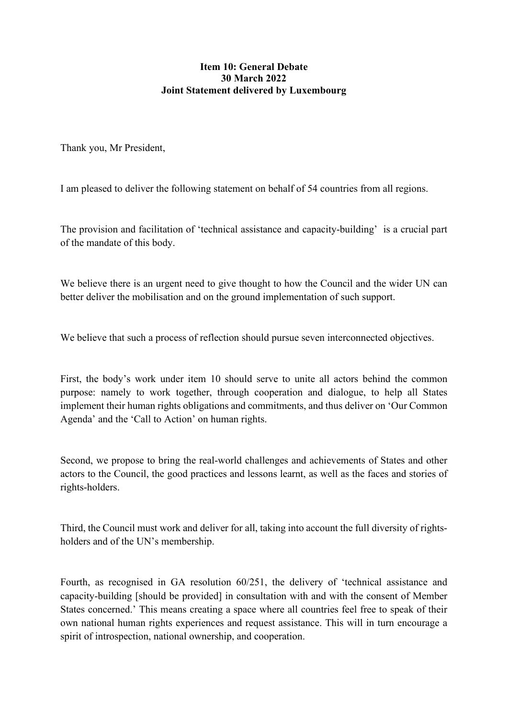## **Item 10: General Debate 30 March 2022 Joint Statement delivered by Luxembourg**

Thank you, Mr President,

I am pleased to deliver the following statement on behalf of 54 countries from all regions.

The provision and facilitation of 'technical assistance and capacity-building' is a crucial part of the mandate of this body.

We believe there is an urgent need to give thought to how the Council and the wider UN can better deliver the mobilisation and on the ground implementation of such support.

We believe that such a process of reflection should pursue seven interconnected objectives.

First, the body's work under item 10 should serve to unite all actors behind the common purpose: namely to work together, through cooperation and dialogue, to help all States implement their human rights obligations and commitments, and thus deliver on 'Our Common Agenda' and the 'Call to Action' on human rights.

Second, we propose to bring the real-world challenges and achievements of States and other actors to the Council, the good practices and lessons learnt, as well as the faces and stories of rights-holders.

Third, the Council must work and deliver for all, taking into account the full diversity of rightsholders and of the UN's membership.

Fourth, as recognised in GA resolution 60/251, the delivery of 'technical assistance and capacity-building [should be provided] in consultation with and with the consent of Member States concerned.' This means creating a space where all countries feel free to speak of their own national human rights experiences and request assistance. This will in turn encourage a spirit of introspection, national ownership, and cooperation.